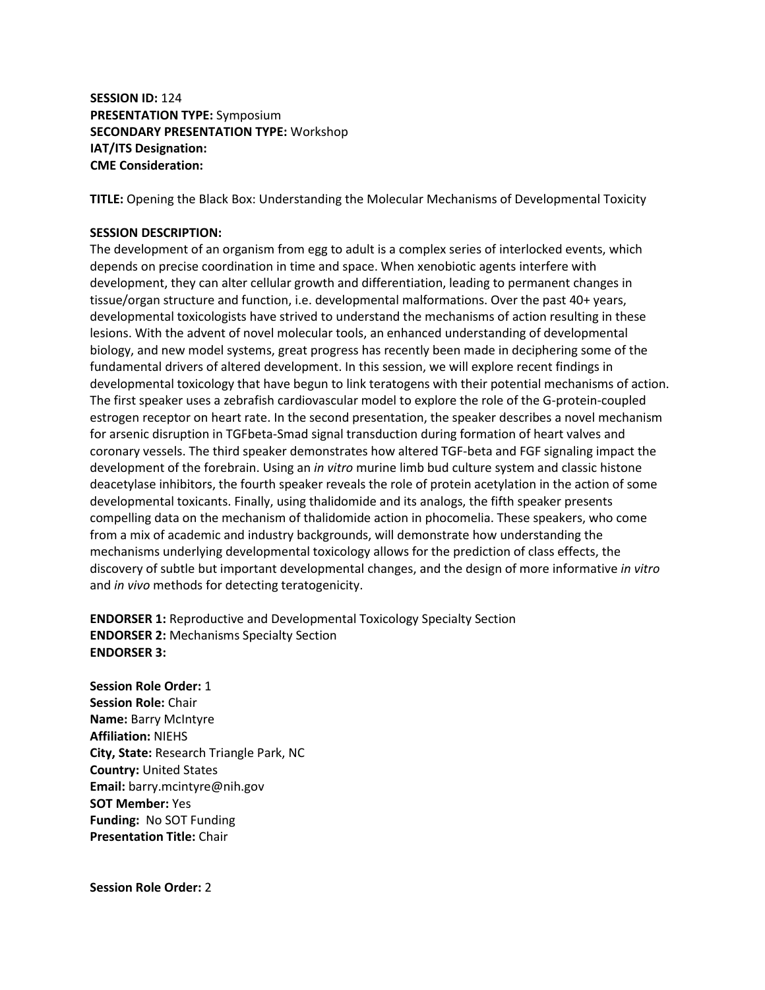**SESSION ID:** 124 **PRESENTATION TYPE:** Symposium **SECONDARY PRESENTATION TYPE:** Workshop **IAT/ITS Designation: CME Consideration:** 

**TITLE:** Opening the Black Box: Understanding the Molecular Mechanisms of Developmental Toxicity

# **SESSION DESCRIPTION:**

The development of an organism from egg to adult is a complex series of interlocked events, which depends on precise coordination in time and space. When xenobiotic agents interfere with development, they can alter cellular growth and differentiation, leading to permanent changes in tissue/organ structure and function, i.e. developmental malformations. Over the past 40+ years, developmental toxicologists have strived to understand the mechanisms of action resulting in these lesions. With the advent of novel molecular tools, an enhanced understanding of developmental biology, and new model systems, great progress has recently been made in deciphering some of the fundamental drivers of altered development. In this session, we will explore recent findings in developmental toxicology that have begun to link teratogens with their potential mechanisms of action. The first speaker uses a zebrafish cardiovascular model to explore the role of the G-protein-coupled estrogen receptor on heart rate. In the second presentation, the speaker describes a novel mechanism for arsenic disruption in TGFbeta-Smad signal transduction during formation of heart valves and coronary vessels. The third speaker demonstrates how altered TGF-beta and FGF signaling impact the development of the forebrain. Using an *in vitro* murine limb bud culture system and classic histone deacetylase inhibitors, the fourth speaker reveals the role of protein acetylation in the action of some developmental toxicants. Finally, using thalidomide and its analogs, the fifth speaker presents compelling data on the mechanism of thalidomide action in phocomelia. These speakers, who come from a mix of academic and industry backgrounds, will demonstrate how understanding the mechanisms underlying developmental toxicology allows for the prediction of class effects, the discovery of subtle but important developmental changes, and the design of more informative *in vitro* and *in vivo* methods for detecting teratogenicity.

**ENDORSER 1:** Reproductive and Developmental Toxicology Specialty Section **ENDORSER 2:** Mechanisms Specialty Section **ENDORSER 3:**

**Session Role Order:** 1 **Session Role:** Chair **Name:** Barry McIntyre **Affiliation:** NIEHS **City, State:** Research Triangle Park, NC **Country:** United States **Email:** barry.mcintyre@nih.gov **SOT Member:** Yes **Funding:** No SOT Funding **Presentation Title:** Chair

**Session Role Order:** 2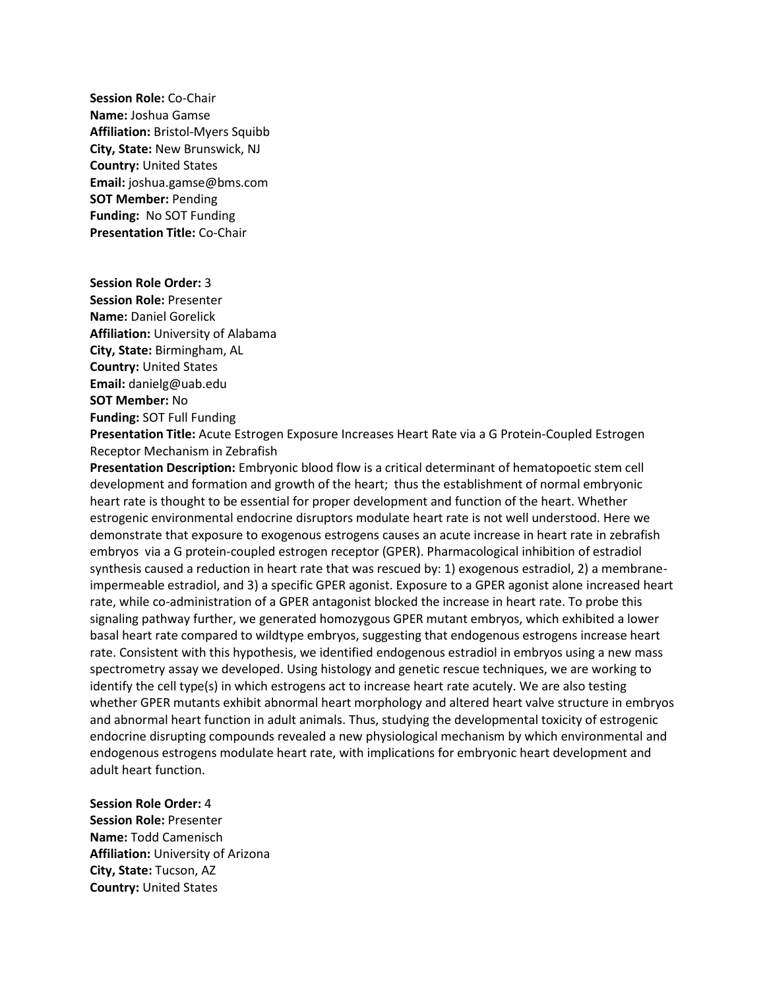**Session Role:** Co-Chair **Name:** Joshua Gamse **Affiliation:** Bristol-Myers Squibb **City, State:** New Brunswick, NJ **Country:** United States **Email:** joshua.gamse@bms.com **SOT Member:** Pending **Funding:** No SOT Funding **Presentation Title:** Co-Chair

**Session Role Order:** 3 **Session Role:** Presenter **Name:** Daniel Gorelick **Affiliation:** University of Alabama **City, State:** Birmingham, AL **Country:** United States **Email:** danielg@uab.edu **SOT Member:** No **Funding:** SOT Full Funding

**Presentation Title:** Acute Estrogen Exposure Increases Heart Rate via a G Protein-Coupled Estrogen Receptor Mechanism in Zebrafish

**Presentation Description:** Embryonic blood flow is a critical determinant of hematopoetic stem cell development and formation and growth of the heart; thus the establishment of normal embryonic heart rate is thought to be essential for proper development and function of the heart. Whether estrogenic environmental endocrine disruptors modulate heart rate is not well understood. Here we demonstrate that exposure to exogenous estrogens causes an acute increase in heart rate in zebrafish embryos via a G protein-coupled estrogen receptor (GPER). Pharmacological inhibition of estradiol synthesis caused a reduction in heart rate that was rescued by: 1) exogenous estradiol, 2) a membraneimpermeable estradiol, and 3) a specific GPER agonist. Exposure to a GPER agonist alone increased heart rate, while co-administration of a GPER antagonist blocked the increase in heart rate. To probe this signaling pathway further, we generated homozygous GPER mutant embryos, which exhibited a lower basal heart rate compared to wildtype embryos, suggesting that endogenous estrogens increase heart rate. Consistent with this hypothesis, we identified endogenous estradiol in embryos using a new mass spectrometry assay we developed. Using histology and genetic rescue techniques, we are working to identify the cell type(s) in which estrogens act to increase heart rate acutely. We are also testing whether GPER mutants exhibit abnormal heart morphology and altered heart valve structure in embryos and abnormal heart function in adult animals. Thus, studying the developmental toxicity of estrogenic endocrine disrupting compounds revealed a new physiological mechanism by which environmental and endogenous estrogens modulate heart rate, with implications for embryonic heart development and adult heart function.

## **Session Role Order:** 4

**Session Role:** Presenter **Name:** Todd Camenisch **Affiliation:** University of Arizona **City, State:** Tucson, AZ **Country:** United States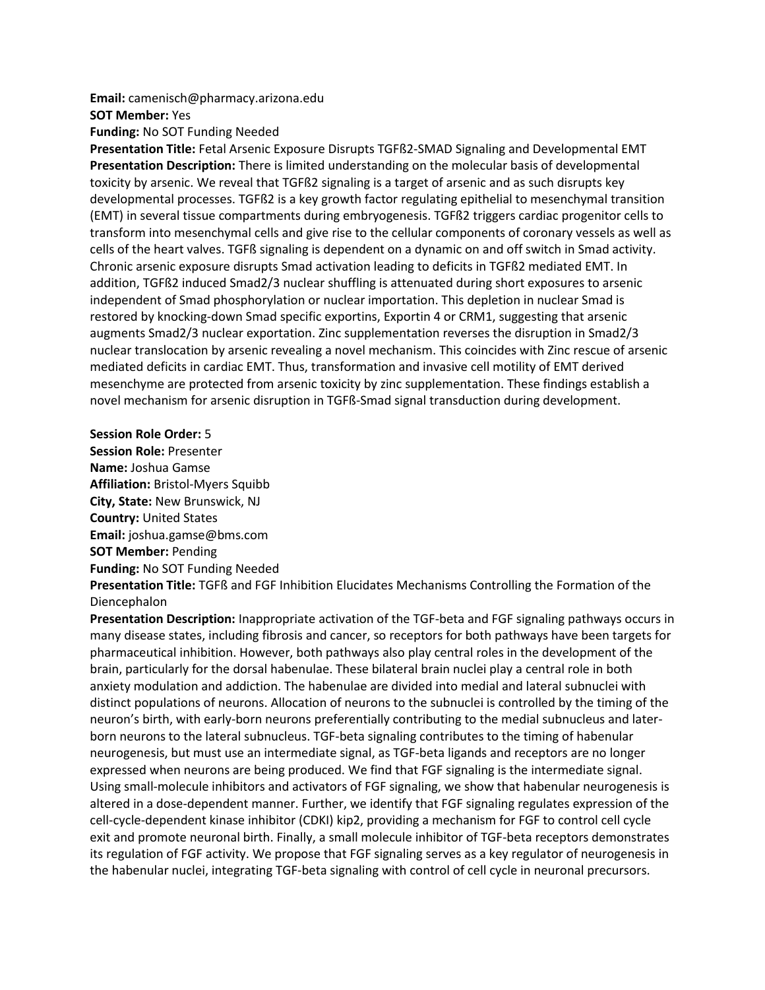#### **Email:** camenisch@pharmacy.arizona.edu

#### **SOT Member:** Yes

**Funding:** No SOT Funding Needed

**Presentation Title:** Fetal Arsenic Exposure Disrupts TGFß2-SMAD Signaling and Developmental EMT **Presentation Description:** There is limited understanding on the molecular basis of developmental toxicity by arsenic. We reveal that TGFß2 signaling is a target of arsenic and as such disrupts key developmental processes. TGFß2 is a key growth factor regulating epithelial to mesenchymal transition (EMT) in several tissue compartments during embryogenesis. TGFß2 triggers cardiac progenitor cells to transform into mesenchymal cells and give rise to the cellular components of coronary vessels as well as cells of the heart valves. TGFß signaling is dependent on a dynamic on and off switch in Smad activity. Chronic arsenic exposure disrupts Smad activation leading to deficits in TGFß2 mediated EMT. In addition, TGFß2 induced Smad2/3 nuclear shuffling is attenuated during short exposures to arsenic independent of Smad phosphorylation or nuclear importation. This depletion in nuclear Smad is restored by knocking-down Smad specific exportins, Exportin 4 or CRM1, suggesting that arsenic augments Smad2/3 nuclear exportation. Zinc supplementation reverses the disruption in Smad2/3 nuclear translocation by arsenic revealing a novel mechanism. This coincides with Zinc rescue of arsenic mediated deficits in cardiac EMT. Thus, transformation and invasive cell motility of EMT derived mesenchyme are protected from arsenic toxicity by zinc supplementation. These findings establish a novel mechanism for arsenic disruption in TGFß-Smad signal transduction during development.

### **Session Role Order:** 5

**Session Role:** Presenter **Name:** Joshua Gamse **Affiliation:** Bristol-Myers Squibb **City, State:** New Brunswick, NJ **Country:** United States **Email:** joshua.gamse@bms.com **SOT Member:** Pending **Funding:** No SOT Funding Needed **Presentation Title:** TGFß and FGF Inhibition Elucidates Mechanisms Controlling the Formation of the Diencephalon

**Presentation Description:** Inappropriate activation of the TGF-beta and FGF signaling pathways occurs in many disease states, including fibrosis and cancer, so receptors for both pathways have been targets for pharmaceutical inhibition. However, both pathways also play central roles in the development of the brain, particularly for the dorsal habenulae. These bilateral brain nuclei play a central role in both anxiety modulation and addiction. The habenulae are divided into medial and lateral subnuclei with distinct populations of neurons. Allocation of neurons to the subnuclei is controlled by the timing of the neuron's birth, with early-born neurons preferentially contributing to the medial subnucleus and laterborn neurons to the lateral subnucleus. TGF-beta signaling contributes to the timing of habenular neurogenesis, but must use an intermediate signal, as TGF-beta ligands and receptors are no longer expressed when neurons are being produced. We find that FGF signaling is the intermediate signal. Using small-molecule inhibitors and activators of FGF signaling, we show that habenular neurogenesis is altered in a dose-dependent manner. Further, we identify that FGF signaling regulates expression of the cell-cycle-dependent kinase inhibitor (CDKI) kip2, providing a mechanism for FGF to control cell cycle exit and promote neuronal birth. Finally, a small molecule inhibitor of TGF-beta receptors demonstrates its regulation of FGF activity. We propose that FGF signaling serves as a key regulator of neurogenesis in the habenular nuclei, integrating TGF-beta signaling with control of cell cycle in neuronal precursors.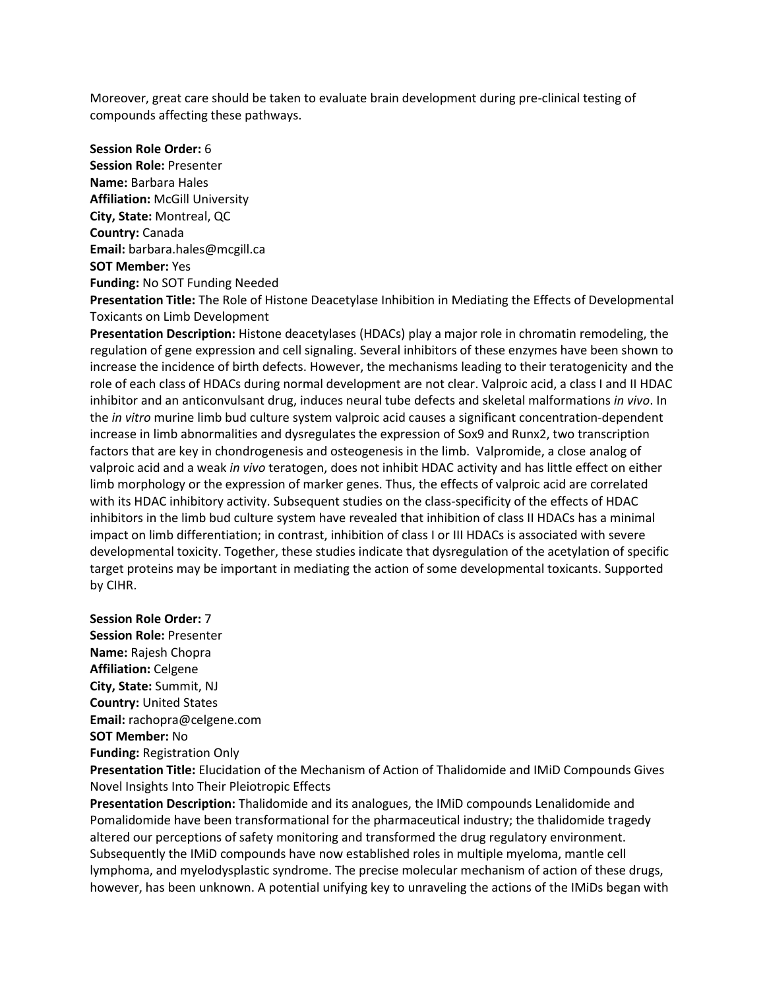Moreover, great care should be taken to evaluate brain development during pre-clinical testing of compounds affecting these pathways.

**Session Role Order:** 6 **Session Role:** Presenter **Name:** Barbara Hales **Affiliation:** McGill University **City, State:** Montreal, QC **Country:** Canada **Email:** barbara.hales@mcgill.ca **SOT Member:** Yes **Funding:** No SOT Funding Needed

**Presentation Title:** The Role of Histone Deacetylase Inhibition in Mediating the Effects of Developmental Toxicants on Limb Development

**Presentation Description:** Histone deacetylases (HDACs) play a major role in chromatin remodeling, the regulation of gene expression and cell signaling. Several inhibitors of these enzymes have been shown to increase the incidence of birth defects. However, the mechanisms leading to their teratogenicity and the role of each class of HDACs during normal development are not clear. Valproic acid, a class I and II HDAC inhibitor and an anticonvulsant drug, induces neural tube defects and skeletal malformations *in vivo*. In the *in vitro* murine limb bud culture system valproic acid causes a significant concentration-dependent increase in limb abnormalities and dysregulates the expression of Sox9 and Runx2, two transcription factors that are key in chondrogenesis and osteogenesis in the limb. Valpromide, a close analog of valproic acid and a weak *in vivo* teratogen, does not inhibit HDAC activity and has little effect on either limb morphology or the expression of marker genes. Thus, the effects of valproic acid are correlated with its HDAC inhibitory activity. Subsequent studies on the class-specificity of the effects of HDAC inhibitors in the limb bud culture system have revealed that inhibition of class II HDACs has a minimal impact on limb differentiation; in contrast, inhibition of class I or III HDACs is associated with severe developmental toxicity. Together, these studies indicate that dysregulation of the acetylation of specific target proteins may be important in mediating the action of some developmental toxicants. Supported by CIHR.

**Session Role Order:** 7 **Session Role:** Presenter **Name:** Rajesh Chopra **Affiliation:** Celgene **City, State:** Summit, NJ **Country:** United States **Email:** rachopra@celgene.com **SOT Member:** No **Funding:** Registration Only

**Presentation Title:** Elucidation of the Mechanism of Action of Thalidomide and IMiD Compounds Gives Novel Insights Into Their Pleiotropic Effects

**Presentation Description:** Thalidomide and its analogues, the IMiD compounds Lenalidomide and Pomalidomide have been transformational for the pharmaceutical industry; the thalidomide tragedy altered our perceptions of safety monitoring and transformed the drug regulatory environment. Subsequently the IMiD compounds have now established roles in multiple myeloma, mantle cell lymphoma, and myelodysplastic syndrome. The precise molecular mechanism of action of these drugs, however, has been unknown. A potential unifying key to unraveling the actions of the IMiDs began with